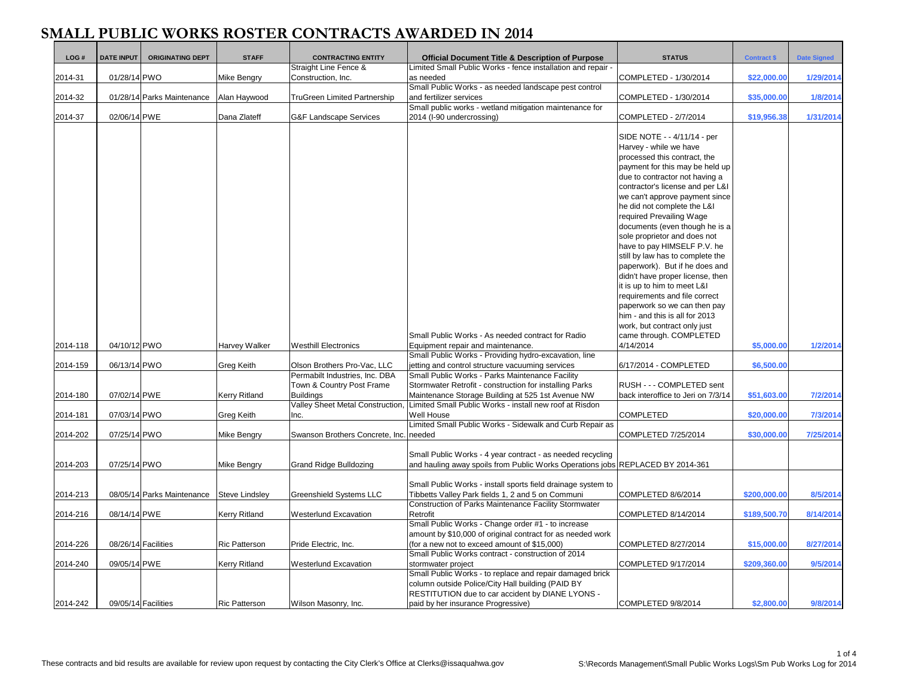| LOG#                 | <b>DATE INPUT</b>            | <b>ORIGINATING DEPT</b>    | <b>STAFF</b>                          | <b>CONTRACTING ENTITY</b>                                                         | <b>Official Document Title &amp; Description of Purpose</b>                                                                                                                                                                   | <b>STATUS</b>                                                                                                                                                                                                                                                                                                                                                                                                                                                                                                                                                                                                                            | <b>Contract \$</b>         | <b>Date Signed</b>   |
|----------------------|------------------------------|----------------------------|---------------------------------------|-----------------------------------------------------------------------------------|-------------------------------------------------------------------------------------------------------------------------------------------------------------------------------------------------------------------------------|------------------------------------------------------------------------------------------------------------------------------------------------------------------------------------------------------------------------------------------------------------------------------------------------------------------------------------------------------------------------------------------------------------------------------------------------------------------------------------------------------------------------------------------------------------------------------------------------------------------------------------------|----------------------------|----------------------|
|                      |                              |                            |                                       | Straight Line Fence &                                                             | Limited Small Public Works - fence installation and repair -                                                                                                                                                                  |                                                                                                                                                                                                                                                                                                                                                                                                                                                                                                                                                                                                                                          |                            |                      |
| 2014-31              | 01/28/14 PWO                 |                            | Mike Bengry                           | Construction, Inc.                                                                | as needed                                                                                                                                                                                                                     | COMPLETED - 1/30/2014                                                                                                                                                                                                                                                                                                                                                                                                                                                                                                                                                                                                                    | \$22,000.00                | 1/29/2014            |
|                      |                              |                            |                                       |                                                                                   | Small Public Works - as needed landscape pest control                                                                                                                                                                         |                                                                                                                                                                                                                                                                                                                                                                                                                                                                                                                                                                                                                                          |                            |                      |
| 2014-32              |                              | 01/28/14 Parks Maintenance | Alan Haywood                          | TruGreen Limited Partnership                                                      | and fertilizer services                                                                                                                                                                                                       | COMPLETED - 1/30/2014                                                                                                                                                                                                                                                                                                                                                                                                                                                                                                                                                                                                                    | \$35,000.00                | 1/8/2014             |
|                      |                              |                            |                                       |                                                                                   | Small public works - wetland mitigation maintenance for                                                                                                                                                                       |                                                                                                                                                                                                                                                                                                                                                                                                                                                                                                                                                                                                                                          |                            |                      |
| 2014-37              | 02/06/14 PWE                 |                            | Dana Zlateff                          | G&F Landscape Services                                                            | 2014 (I-90 undercrossing)                                                                                                                                                                                                     | COMPLETED - 2/7/2014                                                                                                                                                                                                                                                                                                                                                                                                                                                                                                                                                                                                                     | \$19,956.38                | 1/31/2014            |
|                      |                              |                            |                                       |                                                                                   |                                                                                                                                                                                                                               | SIDE NOTE - - 4/11/14 - per<br>Harvey - while we have<br>processed this contract, the<br>payment for this may be held up<br>due to contractor not having a<br>contractor's license and per L&I<br>we can't approve payment since<br>he did not complete the L&I<br>required Prevailing Wage<br>documents (even though he is a<br>sole proprietor and does not<br>have to pay HIMSELF P.V. he<br>still by law has to complete the<br>paperwork). But if he does and<br>didn't have proper license, then<br>it is up to him to meet L&I<br>requirements and file correct<br>paperwork so we can then pay<br>him - and this is all for 2013 |                            |                      |
| 2014-118<br>2014-159 | 04/10/12 PWO<br>06/13/14 PWO |                            | Harvey Walker<br>Greg Keith           | Westhill Electronics<br>Olson Brothers Pro-Vac, LLC                               | Small Public Works - As needed contract for Radio<br>Equipment repair and maintenance.<br>Small Public Works - Providing hydro-excavation, line<br>jetting and control structure vacuuming services                           | work, but contract only just<br>came through. COMPLETED<br>4/14/2014<br>6/17/2014 - COMPLETED                                                                                                                                                                                                                                                                                                                                                                                                                                                                                                                                            | \$5,000.00<br>\$6,500.00   | 1/2/2014             |
|                      |                              |                            |                                       | Permabilt Industries, Inc. DBA                                                    | Small Public Works - Parks Maintenance Facility                                                                                                                                                                               |                                                                                                                                                                                                                                                                                                                                                                                                                                                                                                                                                                                                                                          |                            |                      |
| 2014-180             | 07/02/14 PWE                 |                            | Kerry Ritland                         | Town & Country Post Frame<br><b>Buildings</b><br>Valley Sheet Metal Construction. | Stormwater Retrofit - construction for installing Parks<br>Maintenance Storage Building at 525 1st Avenue NW<br>Limited Small Public Works - install new roof at Risdon                                                       | RUSH - - - COMPLETED sent<br>back interoffice to Jeri on 7/3/14                                                                                                                                                                                                                                                                                                                                                                                                                                                                                                                                                                          | \$51,603.00                | 7/2/2014             |
| 2014-181             | 07/03/14 PWO                 |                            | Greg Keith                            | Inc.                                                                              | Well House                                                                                                                                                                                                                    | <b>COMPLETED</b>                                                                                                                                                                                                                                                                                                                                                                                                                                                                                                                                                                                                                         | \$20,000.00                | 7/3/2014             |
|                      |                              |                            |                                       |                                                                                   | Limited Small Public Works - Sidewalk and Curb Repair as                                                                                                                                                                      |                                                                                                                                                                                                                                                                                                                                                                                                                                                                                                                                                                                                                                          |                            |                      |
| 2014-202             | 07/25/14 PWO                 |                            | Mike Bengry                           | Swanson Brothers Concrete, Inc. needed                                            |                                                                                                                                                                                                                               | COMPLETED 7/25/2014                                                                                                                                                                                                                                                                                                                                                                                                                                                                                                                                                                                                                      | \$30,000.00                | 7/25/2014            |
| 2014-203             | 07/25/14 PWO                 |                            | Mike Bengry                           | Grand Ridge Bulldozing                                                            | Small Public Works - 4 year contract - as needed recycling<br>and hauling away spoils from Public Works Operations jobs REPLACED BY 2014-361                                                                                  |                                                                                                                                                                                                                                                                                                                                                                                                                                                                                                                                                                                                                                          |                            |                      |
| 2014-213             |                              | 08/05/14 Parks Maintenance | <b>Steve Lindsley</b>                 | Greenshield Systems LLC                                                           | Small Public Works - install sports field drainage system to<br>Tibbetts Valley Park fields 1, 2 and 5 on Communi                                                                                                             | COMPLETED 8/6/2014                                                                                                                                                                                                                                                                                                                                                                                                                                                                                                                                                                                                                       | \$200,000.00               | 8/5/2014             |
| 2014-216             | 08/14/14 PWE                 |                            | Kerry Ritland                         | Westerlund Excavation                                                             | Construction of Parks Maintenance Facility Stormwater<br>Retrofit<br>Small Public Works - Change order #1 - to increase                                                                                                       | COMPLETED 8/14/2014                                                                                                                                                                                                                                                                                                                                                                                                                                                                                                                                                                                                                      | \$189,500.70               | 8/14/2014            |
| 2014-226             |                              | 08/26/14 Facilities        | <b>Ric Patterson</b>                  | Pride Electric, Inc.                                                              | amount by \$10,000 of original contract for as needed work<br>(for a new not to exceed amount of \$15,000)<br>Small Public Works contract - construction of 2014                                                              | COMPLETED 8/27/2014                                                                                                                                                                                                                                                                                                                                                                                                                                                                                                                                                                                                                      | \$15,000.00                | 8/27/2014            |
| 2014-240<br>2014-242 | 09/05/14 PWE                 | 09/05/14 Facilities        | Kerry Ritland<br><b>Ric Patterson</b> | Westerlund Excavation<br>Wilson Masonry, Inc.                                     | stormwater project<br>Small Public Works - to replace and repair damaged brick<br>column outside Police/City Hall building (PAID BY<br>RESTITUTION due to car accident by DIANE LYONS -<br>paid by her insurance Progressive) | COMPLETED 9/17/2014<br>COMPLETED 9/8/2014                                                                                                                                                                                                                                                                                                                                                                                                                                                                                                                                                                                                | \$209,360.00<br>\$2,800.00 | 9/5/2014<br>9/8/2014 |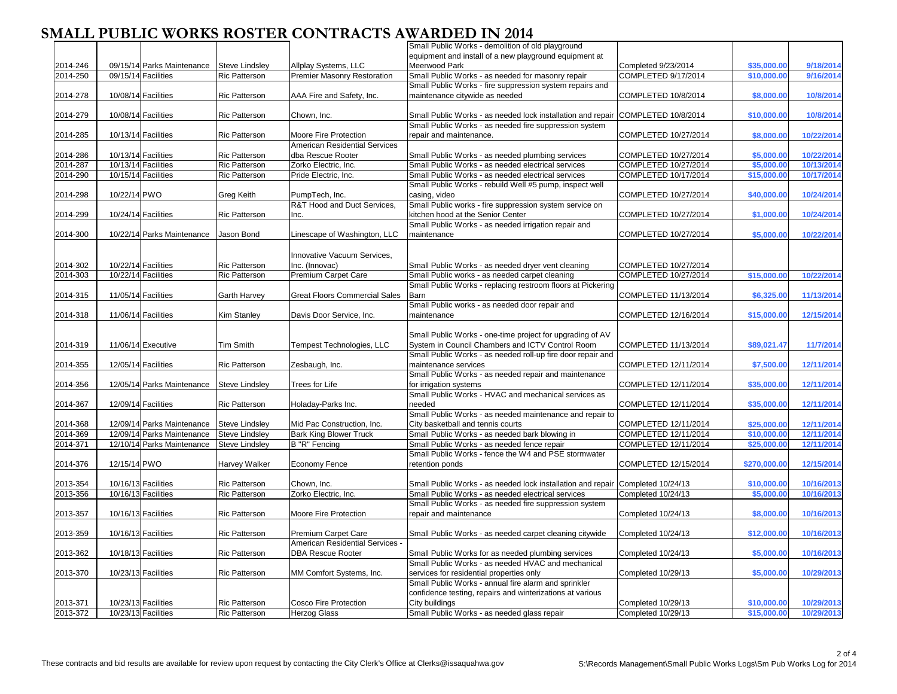|          |              |                            |                       |                                      | Small Public Works - demolition of old playground                               |                      |              |            |
|----------|--------------|----------------------------|-----------------------|--------------------------------------|---------------------------------------------------------------------------------|----------------------|--------------|------------|
|          |              |                            |                       |                                      | equipment and install of a new playground equipment at                          |                      |              |            |
|          |              |                            |                       |                                      |                                                                                 |                      |              |            |
| 2014-246 |              | 09/15/14 Parks Maintenance | <b>Steve Lindsley</b> | Allplay Systems, LLC                 | Meerwood Park                                                                   | Completed 9/23/2014  | \$35,000.00  | 9/18/2014  |
| 2014-250 |              | 09/15/14 Facilities        | <b>Ric Patterson</b>  | Premier Masonry Restoration          | Small Public Works - as needed for masonry repair                               | COMPLETED 9/17/2014  | \$10,000.0   | 9/16/2014  |
|          |              |                            |                       |                                      | Small Public Works - fire suppression system repairs and                        |                      |              |            |
| 2014-278 |              | 10/08/14 Facilities        | <b>Ric Patterson</b>  | AAA Fire and Safety, Inc.            | maintenance citywide as needed                                                  | COMPLETED 10/8/2014  | \$8,000.00   | 10/8/2014  |
|          |              |                            |                       |                                      |                                                                                 |                      |              |            |
| 2014-279 |              | 10/08/14 Facilities        | <b>Ric Patterson</b>  | Chown, Inc.                          | Small Public Works - as needed lock installation and repair COMPLETED 10/8/2014 |                      | \$10,000.00  | 10/8/2014  |
|          |              |                            |                       |                                      | Small Public Works - as needed fire suppression system                          |                      |              |            |
| 2014-285 |              | 10/13/14 Facilities        | <b>Ric Patterson</b>  | Moore Fire Protection                | repair and maintenance.                                                         | COMPLETED 10/27/2014 | \$8,000.00   | 10/22/2014 |
|          |              |                            |                       | American Residential Services        |                                                                                 |                      |              |            |
| 2014-286 |              | 10/13/14 Facilities        | <b>Ric Patterson</b>  | dba Rescue Rooter                    | Small Public Works - as needed plumbing services                                | COMPLETED 10/27/2014 | \$5,000.00   | 10/22/2014 |
| 2014-287 |              | 10/13/14 Facilities        | <b>Ric Patterson</b>  | Zorko Electric, Inc.                 | Small Public Works - as needed electrical services                              | COMPLETED 10/27/2014 | \$5,000.00   | 10/13/2014 |
| 2014-290 |              | 10/15/14 Facilities        | <b>Ric Patterson</b>  | Pride Electric, Inc.                 | Small Public Works - as needed electrical services                              | COMPLETED 10/17/2014 | \$15,000.00  | 10/17/2014 |
|          |              |                            |                       |                                      | Small Public Works - rebuild Well #5 pump, inspect well                         |                      |              |            |
|          |              |                            |                       |                                      |                                                                                 |                      |              |            |
| 2014-298 | 10/22/14 PWO |                            | <b>Greg Keith</b>     | PumpTech, Inc.                       | casing, video                                                                   | COMPLETED 10/27/2014 | \$40,000.00  | 10/24/2014 |
|          |              |                            |                       | R&T Hood and Duct Services,          | Small Public works - fire suppression system service on                         |                      |              |            |
| 2014-299 |              | 10/24/14 Facilities        | <b>Ric Patterson</b>  | Inc.                                 | kitchen hood at the Senior Center                                               | COMPLETED 10/27/2014 | \$1,000.00   | 10/24/2014 |
|          |              |                            |                       |                                      | Small Public Works - as needed irrigation repair and                            |                      |              |            |
| 2014-300 |              | 10/22/14 Parks Maintenance | Jason Bond            | Linescape of Washington, LLC         | maintenance                                                                     | COMPLETED 10/27/2014 | \$5,000.00   | 10/22/2014 |
|          |              |                            |                       |                                      |                                                                                 |                      |              |            |
|          |              |                            |                       | Innovative Vacuum Services,          |                                                                                 |                      |              |            |
| 2014-302 |              | 10/22/14 Facilities        | <b>Ric Patterson</b>  | Inc. (Innovac)                       | Small Public Works - as needed dryer vent cleaning                              | COMPLETED 10/27/2014 |              |            |
| 2014-303 |              | 10/22/14 Facilities        | <b>Ric Patterson</b>  | Premium Carpet Care                  | Small Public works - as needed carpet cleaning                                  | COMPLETED 10/27/2014 | \$15,000.0   | 10/22/2014 |
|          |              |                            |                       |                                      |                                                                                 |                      |              |            |
|          |              |                            |                       |                                      | Small Public Works - replacing restroom floors at Pickering                     |                      |              |            |
| 2014-315 |              | 11/05/14 Facilities        | <b>Garth Harvey</b>   | <b>Great Floors Commercial Sales</b> | <b>Barn</b>                                                                     | COMPLETED 11/13/2014 | \$6,325.00   | 11/13/2014 |
|          |              |                            |                       |                                      | Small Public works - as needed door repair and                                  |                      |              |            |
| 2014-318 |              | 11/06/14 Facilities        | <b>Kim Stanley</b>    | Davis Door Service, Inc.             | maintenance                                                                     | COMPLETED 12/16/2014 | \$15,000.00  | 12/15/2014 |
|          |              |                            |                       |                                      |                                                                                 |                      |              |            |
|          |              |                            |                       |                                      | Small Public Works - one-time project for upgrading of AV                       |                      |              |            |
| 2014-319 |              | 11/06/14 Executive         | <b>Tim Smith</b>      | Tempest Technologies, LLC            | System in Council Chambers and ICTV Control Room                                | COMPLETED 11/13/2014 | \$89,021.47  | 11/7/2014  |
|          |              |                            |                       |                                      | Small Public Works - as needed roll-up fire door repair and                     |                      |              |            |
| 2014-355 |              | 12/05/14 Facilities        | <b>Ric Patterson</b>  | Zesbaugh, Inc.                       | maintenance services                                                            | COMPLETED 12/11/2014 | \$7,500.00   | 12/11/2014 |
|          |              |                            |                       |                                      | Small Public Works - as needed repair and maintenance                           |                      |              |            |
| 2014-356 |              | 12/05/14 Parks Maintenance | <b>Steve Lindsley</b> | Trees for Life                       | for irrigation systems                                                          | COMPLETED 12/11/2014 | \$35,000.00  | 12/11/2014 |
|          |              |                            |                       |                                      | Small Public Works - HVAC and mechanical services as                            |                      |              |            |
|          |              |                            |                       |                                      |                                                                                 |                      |              |            |
| 2014-367 |              | 12/09/14 Facilities        | <b>Ric Patterson</b>  | Holaday-Parks Inc.                   | needed                                                                          | COMPLETED 12/11/2014 | \$35,000.00  | 12/11/2014 |
|          |              |                            |                       |                                      | Small Public Works - as needed maintenance and repair to                        |                      |              |            |
| 2014-368 |              | 12/09/14 Parks Maintenance | <b>Steve Lindsley</b> | Mid Pac Construction, Inc.           | City basketball and tennis courts                                               | COMPLETED 12/11/2014 | \$25,000.00  | 12/11/2014 |
| 2014-369 |              | 12/09/14 Parks Maintenance | <b>Steve Lindsley</b> | <b>Bark King Blower Truck</b>        | Small Public Works - as needed bark blowing in                                  | COMPLETED 12/11/2014 | \$10,000.0   | 12/11/2014 |
| 2014-371 |              | 12/10/14 Parks Maintenance | <b>Steve Lindsley</b> | B "R" Fencing                        | Small Public Works - as needed fence repair                                     | COMPLETED 12/11/2014 | \$25,000.0   | 12/11/2014 |
|          |              |                            |                       |                                      | Small Public Works - fence the W4 and PSE stormwater                            |                      |              |            |
| 2014-376 | 12/15/14 PWO |                            | <b>Harvey Walker</b>  | Economy Fence                        | retention ponds                                                                 | COMPLETED 12/15/2014 | \$270,000.00 | 12/15/2014 |
|          |              |                            |                       |                                      |                                                                                 |                      |              |            |
| 2013-354 |              | 10/16/13 Facilities        | <b>Ric Patterson</b>  | Chown, Inc.                          | Small Public Works - as needed lock installation and repair                     | Completed 10/24/13   | \$10,000.00  | 10/16/2013 |
| 2013-356 |              | 10/16/13 Facilities        | <b>Ric Patterson</b>  | Zorko Electric, Inc.                 | Small Public Works - as needed electrical services                              | Completed 10/24/13   | \$5,000.0    | 10/16/2013 |
|          |              |                            |                       |                                      |                                                                                 |                      |              |            |
|          |              |                            |                       |                                      | Small Public Works - as needed fire suppression system                          |                      |              |            |
| 2013-357 |              | 10/16/13 Facilities        | <b>Ric Patterson</b>  | Moore Fire Protection                | repair and maintenance                                                          | Completed 10/24/13   | \$8,000.00   | 10/16/2013 |
|          |              |                            |                       |                                      |                                                                                 |                      |              |            |
| 2013-359 |              | 10/16/13 Facilities        | <b>Ric Patterson</b>  | <b>Premium Carpet Care</b>           | Small Public Works - as needed carpet cleaning citywide                         | Completed 10/24/13   | \$12,000.00  | 10/16/2013 |
|          |              |                            |                       | American Residential Services -      |                                                                                 |                      |              |            |
| 2013-362 |              | 10/18/13 Facilities        | <b>Ric Patterson</b>  | <b>DBA Rescue Rooter</b>             | Small Public Works for as needed plumbing services                              | Completed 10/24/13   | \$5,000.00   | 10/16/2013 |
|          |              |                            |                       |                                      | Small Public Works - as needed HVAC and mechanical                              |                      |              |            |
| 2013-370 |              | 10/23/13 Facilities        | <b>Ric Patterson</b>  | MM Comfort Systems, Inc.             | services for residential properties only                                        | Completed 10/29/13   | \$5,000.00   | 10/29/2013 |
|          |              |                            |                       |                                      | Small Public Works - annual fire alarm and sprinkler                            |                      |              |            |
|          |              |                            |                       |                                      | confidence testing, repairs and winterizations at various                       |                      |              |            |
|          |              |                            |                       |                                      |                                                                                 |                      |              |            |
| 2013-371 |              | 10/23/13 Facilities        | <b>Ric Patterson</b>  | Cosco Fire Protection                | City buildings                                                                  | Completed 10/29/13   | \$10,000.00  | 10/29/2013 |
| 2013-372 |              | 10/23/13 Facilities        | <b>Ric Patterson</b>  | Herzog Glass                         | Small Public Works - as needed glass repair                                     | Completed 10/29/13   | \$15,000.00  | 10/29/2013 |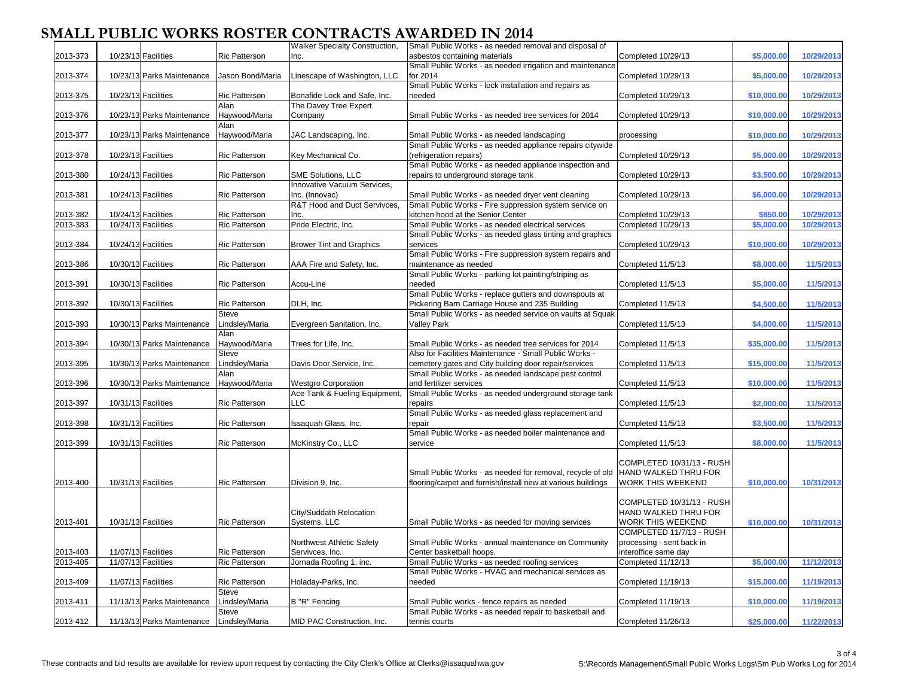|          |                            |                      | Walker Specialty Construction,     | Small Public Works - as needed removal and disposal of       |                           |             |            |
|----------|----------------------------|----------------------|------------------------------------|--------------------------------------------------------------|---------------------------|-------------|------------|
| 2013-373 | 10/23/13 Facilities        | <b>Ric Patterson</b> | Inc.                               | asbestos containing materials                                | Completed 10/29/13        | \$5,000.00  | 10/29/2013 |
|          |                            |                      |                                    |                                                              |                           |             |            |
|          |                            |                      |                                    | Small Public Works - as needed irrigation and maintenance    |                           |             |            |
| 2013-374 | 10/23/13 Parks Maintenance | Jason Bond/Maria     | Linescape of Washington, LLC       | for 2014                                                     | Completed 10/29/13        | \$5,000.00  | 10/29/2013 |
|          |                            |                      |                                    | Small Public Works - lock installation and repairs as        |                           |             |            |
| 2013-375 | 10/23/13 Facilities        | <b>Ric Patterson</b> | Bonafide Lock and Safe, Inc.       | needed                                                       | Completed 10/29/13        | \$10,000.00 | 10/29/2013 |
|          |                            | Alan                 | The Davey Tree Expert              |                                                              |                           |             |            |
| 2013-376 | 10/23/13 Parks Maintenance | Haywood/Maria        | Company                            | Small Public Works - as needed tree services for 2014        | Completed 10/29/13        | \$10,000.00 | 10/29/2013 |
|          |                            | Alan                 |                                    |                                                              |                           |             |            |
| 2013-377 | 10/23/13 Parks Maintenance | Haywood/Maria        | JAC Landscaping, Inc.              | Small Public Works - as needed landscaping                   | processing                | \$10,000.00 | 10/29/2013 |
|          |                            |                      |                                    | Small Public Works - as needed appliance repairs citywide    |                           |             |            |
| 2013-378 | 10/23/13 Facilities        | <b>Ric Patterson</b> | Key Mechanical Co.                 | (refrigeration repairs)                                      | Completed 10/29/13        | \$5,000.00  | 10/29/2013 |
|          |                            |                      |                                    | Small Public Works - as needed appliance inspection and      |                           |             |            |
| 2013-380 | 10/24/13 Facilities        | <b>Ric Patterson</b> | SME Solutions, LLC                 | repairs to underground storage tank                          | Completed 10/29/13        | \$3,500.00  | 10/29/2013 |
|          |                            |                      | <b>Innovative Vacuum Services,</b> |                                                              |                           |             |            |
| 2013-381 | 10/24/13 Facilities        | <b>Ric Patterson</b> | Inc. (Innovac)                     | Small Public Works - as needed dryer vent cleaning           | Completed 10/29/13        |             |            |
|          |                            |                      |                                    |                                                              |                           | \$6,000.00  | 10/29/2013 |
|          |                            |                      | R&T Hood and Duct Servivces,       | Small Public Works - Fire suppression system service on      |                           |             |            |
| 2013-382 | 10/24/13 Facilities        | <b>Ric Patterson</b> | Inc.                               | kitchen hood at the Senior Center                            | Completed 10/29/13        | \$850.00    | 10/29/2013 |
| 2013-383 | 10/24/13 Facilities        | <b>Ric Patterson</b> | Pride Electric, Inc.               | Small Public Works - as needed electrical services           | Completed 10/29/13        | \$5,000.0   | 10/29/2013 |
|          |                            |                      |                                    | Small Public Works - as needed glass tinting and graphics    |                           |             |            |
| 2013-384 | 10/24/13 Facilities        | <b>Ric Patterson</b> | <b>Brower Tint and Graphics</b>    | services                                                     | Completed 10/29/13        | \$10,000.00 | 10/29/2013 |
|          |                            |                      |                                    | Small Public Works - Fire suppression system repairs and     |                           |             |            |
| 2013-386 | 10/30/13 Facilities        | <b>Ric Patterson</b> | AAA Fire and Safety, Inc.          | maintenance as needed                                        | Completed 11/5/13         | \$8,000.00  | 11/5/2013  |
|          |                            |                      |                                    | Small Public Works - parking lot painting/striping as        |                           |             |            |
| 2013-391 | 10/30/13 Facilities        | <b>Ric Patterson</b> | Accu-Line                          | needed                                                       | Completed 11/5/13         | \$5,000.00  | 11/5/2013  |
|          |                            |                      |                                    | Small Public Works - replace gutters and downspouts at       |                           |             |            |
| 2013-392 | 10/30/13 Facilities        | <b>Ric Patterson</b> | DLH, Inc.                          | Pickering Barn Carriage House and 235 Building               | Completed 11/5/13         | \$4,500.00  | 11/5/2013  |
|          |                            | Steve                |                                    | Small Public Works - as needed service on vaults at Squak    |                           |             |            |
| 2013-393 | 10/30/13 Parks Maintenance | Lindsley/Maria       | Evergreen Sanitation, Inc.         | <b>Valley Park</b>                                           | Completed 11/5/13         | \$4,000.00  | 11/5/2013  |
|          |                            |                      |                                    |                                                              |                           |             |            |
|          |                            | Alan                 |                                    |                                                              |                           |             |            |
| 2013-394 | 10/30/13 Parks Maintenance | Haywood/Maria        | Trees for Life, Inc.               | Small Public Works - as needed tree services for 2014        | Completed 11/5/13         | \$35,000.00 | 11/5/2013  |
|          |                            | Steve                |                                    | Also for Facilities Maintenance - Small Public Works -       |                           |             |            |
| 2013-395 | 10/30/13 Parks Maintenance | Lindsley/Maria       | Davis Door Service, Inc.           | cemetery gates and City building door repair/services        | Completed 11/5/13         | \$15,000.00 | 11/5/2013  |
|          |                            | Alan                 |                                    | Small Public Works - as needed landscape pest control        |                           |             |            |
| 2013-396 | 10/30/13 Parks Maintenance | Haywood/Maria        | <b>Westgro Corporation</b>         | and fertilizer services                                      | Completed 11/5/13         | \$10,000.00 | 11/5/2013  |
|          |                            |                      | Ace Tank & Fueling Equipment,      | Small Public Works - as needed underground storage tank      |                           |             |            |
| 2013-397 | 10/31/13 Facilities        | <b>Ric Patterson</b> | LLC                                | repairs                                                      | Completed 11/5/13         | \$2,000.00  | 11/5/2013  |
|          |                            |                      |                                    | Small Public Works - as needed glass replacement and         |                           |             |            |
| 2013-398 | 10/31/13 Facilities        | <b>Ric Patterson</b> | Issaquah Glass, Inc.               | repair                                                       | Completed 11/5/13         | \$3,500.00  | 11/5/2013  |
|          |                            |                      |                                    | Small Public Works - as needed boiler maintenance and        |                           |             |            |
| 2013-399 | 10/31/13 Facilities        | <b>Ric Patterson</b> | McKinstry Co., LLC                 | service                                                      | Completed 11/5/13         | \$8,000.00  | 11/5/2013  |
|          |                            |                      |                                    |                                                              |                           |             |            |
|          |                            |                      |                                    |                                                              | COMPLETED 10/31/13 - RUSH |             |            |
|          |                            |                      |                                    | Small Public Works - as needed for removal, recycle of old   | HAND WALKED THRU FOR      |             |            |
| 2013-400 | 10/31/13 Facilities        | <b>Ric Patterson</b> | Division 9, Inc.                   | flooring/carpet and furnish/install new at various buildings | WORK THIS WEEKEND         | \$10,000.00 | 10/31/2013 |
|          |                            |                      |                                    |                                                              |                           |             |            |
|          |                            |                      |                                    |                                                              | COMPLETED 10/31/13 - RUSH |             |            |
|          |                            |                      | City/Suddath Relocation            |                                                              | HAND WALKED THRU FOR      |             |            |
|          |                            |                      |                                    |                                                              |                           |             |            |
| 2013-401 | 10/31/13 Facilities        | <b>Ric Patterson</b> | Systems, LLC                       | Small Public Works - as needed for moving services           | WORK THIS WEEKEND         | \$10,000.00 | 10/31/2013 |
|          |                            |                      |                                    |                                                              | COMPLETED 11/7/13 - RUSH  |             |            |
|          |                            |                      | Northwest Athletic Safety          | Small Public Works - annual maintenance on Community         | processing - sent back in |             |            |
| 2013-403 | 11/07/13 Facilities        | <b>Ric Patterson</b> | Servivces, Inc.                    | Center basketball hoops.                                     | nteroffice same day       |             |            |
| 2013-405 | 11/07/13 Facilities        | <b>Ric Patterson</b> | Jornada Roofing 1, inc.            | Small Public Works - as needed roofing services              | Completed 11/12/13        | \$5,000.00  | 11/12/2013 |
|          |                            |                      |                                    | Small Public Works - HVAC and mechanical services as         |                           |             |            |
| 2013-409 | 11/07/13 Facilities        | <b>Ric Patterson</b> | Holaday-Parks, Inc.                | needed                                                       | Completed 11/19/13        | \$15,000.00 | 11/19/2013 |
|          |                            | <b>Steve</b>         |                                    |                                                              |                           |             |            |
| 2013-411 | 11/13/13 Parks Maintenance | Lindsley/Maria       | B "R" Fencing                      | Small Public works - fence repairs as needed                 | Completed 11/19/13        | \$10,000.00 | 11/19/2013 |
|          |                            | <b>Steve</b>         |                                    | Small Public Works - as needed repair to basketball and      |                           |             |            |
| 2013-412 | 11/13/13 Parks Maintenance | Lindsley/Maria       | MID PAC Construction, Inc.         | tennis courts                                                | Completed 11/26/13        | \$25,000.00 | 11/22/2013 |
|          |                            |                      |                                    |                                                              |                           |             |            |